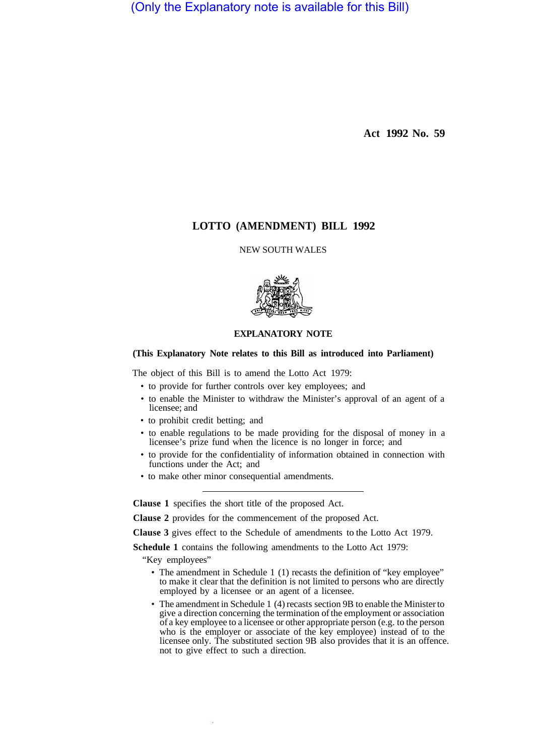(Only the Explanatory note is available for this Bill)

**Act 1992 No. 59** 

# **LOTTO (AMENDMENT) BILL 1992**

NEW SOUTH WALES



## **EXPLANATORY NOTE**

### **(This Explanatory Note relates to this Bill as introduced into Parliament)**

The object of this Bill is to amend the Lotto Act 1979:

- to provide for further controls over key employees; and
- to enable the Minister to withdraw the Minister's approval of an agent of a licensee; and
- to prohibit credit betting; and
- to enable regulations to be made providing for the disposal of money in a licensee's prize fund when the licence is no longer in force; and
- to provide for the confidentiality of information obtained in connection with functions under the Act; and
- to make other minor consequential amendments.

**Clause 1** specifies the short title of the proposed Act.

**Clause 2** provides for the commencement of the proposed Act.

**Clause 3** gives effect to the Schedule of amendments to the Lotto Act 1979.

**Schedule 1** contains the following amendments to the Lotto Act 1979:

"Key employees"

- The amendment in Schedule 1 (1) recasts the definition of "key employee" to make it clear that the definition is not limited to persons who are directly employed by a licensee or an agent of a licensee.
- The amendment in Schedule 1 (4) recasts section 9B to enable the Minister to give a direction concerning the termination of the employment or association of a key employee to a licensee or other appropriate person (e.g. to the person who is the employer or associate of the key employee) instead of to the licensee only. The substituted section 9B also provides that it is an offence. not to give effect to such a direction.